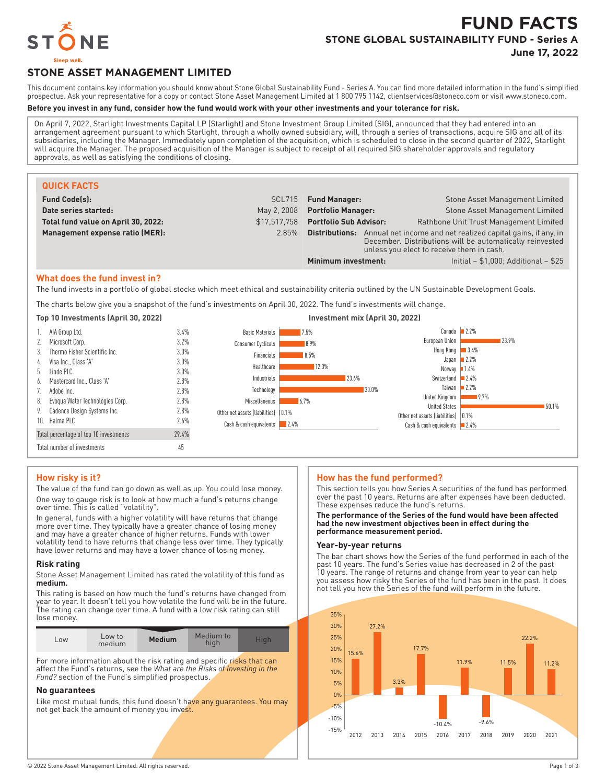

# **FUND FACTS STONE GLOBAL SUSTAINABILITY FUND - Series A**

**June 17, 2022**

## **STONE ASSET MANAGEMENT LIMITED**

This document contains key information you should know about Stone Global Sustainability Fund - Series A. You can find more detailed information in the fund's simplified prospectus. Ask your representative for a copy or contact Stone Asset Management Limited at 1 800 795 1142, clientservices@stoneco.com or visit www.stoneco.com.

## **Before you invest in any fund, consider how the fund would work with your other investments and your tolerance for risk.**

On April 7, 2022, Starlight Investments Capital LP (Starlight) and Stone Investment Group Limited (SIG), announced that they had entered into an arrangement agreement pursuant to which Starlight, through a wholly owned subsidiary, will, through a series of transactions, acquire SIG and all of its subsidiaries, including the Manager. Immediately upon completion of the acquisition, which is scheduled to close in the second quarter of 2022, Starlight will acquire the Manager. The proposed acquisition of the Manager is subject to receipt of all required SIG shareholder approvals and regulatory approvals, as well as satisfying the conditions of closing.

| <b>QUICK FACTS</b>                  |              |                                                                                                                                                                                         |                                         |
|-------------------------------------|--------------|-----------------------------------------------------------------------------------------------------------------------------------------------------------------------------------------|-----------------------------------------|
| <b>Fund Code(s):</b>                | SCL715       | <b>Fund Manager:</b>                                                                                                                                                                    | Stone Asset Management Limited          |
| Date series started:                | May 2, 2008  | <b>Portfolio Manager:</b>                                                                                                                                                               | Stone Asset Management Limited          |
| Total fund value on April 30, 2022: | \$17.517.758 | <b>Portfolio Sub Advisor:</b>                                                                                                                                                           | Rathbone Unit Trust Management Limited  |
| Management expense ratio (MER):     | 2.85%        | Annual net income and net realized capital gains, if any, in<br>Distributions:<br>December. Distributions will be automatically reinvested<br>unless you elect to receive them in cash. |                                         |
|                                     |              | Minimum investment:                                                                                                                                                                     | Initial $- $1,000$ ; Additional $- $25$ |

#### **What does the fund invest in?**

The fund invests in a portfolio of global stocks which meet ethical and sustainability criteria outlined by the UN Sustainable Development Goals.

The charts below give you a snapshot of the fund's investments on April 30, 2022. The fund's investments will change.



## **How risky is it?**

The value of the fund can go down as well as up. You could lose money. One way to gauge risk is to look at how much a fund's returns change over time. This is called "volatility".

In general, funds with a higher volatility will have returns that change more over time. They typically have a greater chance of losing money and may have a greater chance of higher returns. Funds with lower volatility tend to have returns that change less over time. They typically have lower returns and may have a lower chance of losing money.

## **Risk rating**

Stone Asset Management Limited has rated the volatility of this fund as **medium.**

This rating is based on how much the fund's returns have changed from year to year. It doesn't tell you how volatile the fund will be in the future. The rating can change over time. A fund with a low risk rating can still lose money.

| LOW | Low to<br>medium | <b>Medium</b> | Medium to<br>high | Hiah |
|-----|------------------|---------------|-------------------|------|
|     |                  |               |                   |      |

For more information about the risk rating and specific risks that can affect the Fund's returns, see the *What are the Risks of Investing in the Fund?* section of the Fund's simplified prospectus.

## **No guarantees**

Like most mutual funds, this fund doesn't have any guarantees. You may not get back the amount of money you invest.

## **How has the fund performed?**

This section tells you how Series A securities of the fund has performed over the past 10 years. Returns are after expenses have been deducted. These expenses reduce the fund's returns.

#### **The performance of the Series of the fund would have been affected had the new investment objectives been in effect during the performance measurement period.**

## **Year-by-year returns**

The bar chart shows how the Series of the fund performed in each of the past 10 years. The fund's Series value has decreased in 2 of the past 10 years. The range of returns and change from year to year can help you assess how risky the Series of the fund has been in the past. It does not tell you how the Series of the fund will perform in the future.

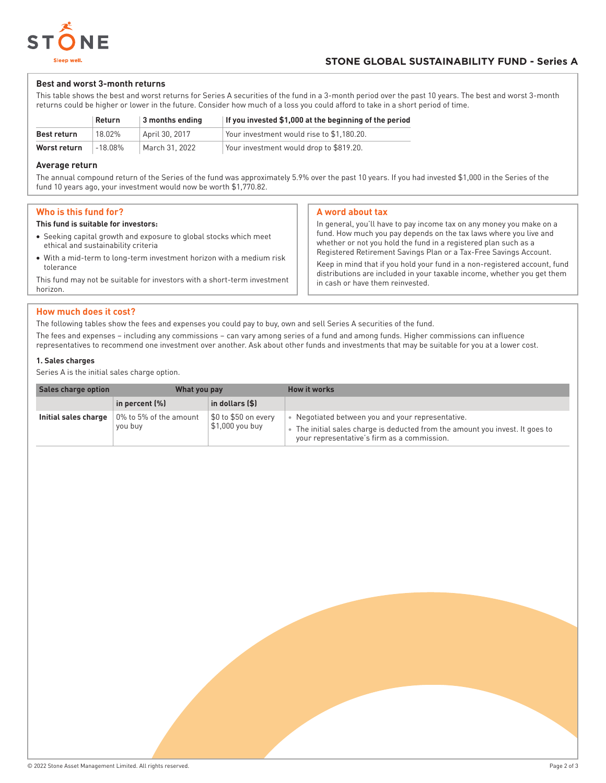

## **Best and worst 3-month returns**

This table shows the best and worst returns for Series A securities of the fund in a 3-month period over the past 10 years. The best and worst 3-month returns could be higher or lower in the future. Consider how much of a loss you could afford to take in a short period of time.

|              | <b>Return</b> | $\vert$ 3 months ending | If you invested \$1,000 at the beginning of the period |
|--------------|---------------|-------------------------|--------------------------------------------------------|
| Best return  | 18.02%        | April 30, 2017          | Your investment would rise to \$1.180.20.              |
| Worst return | $-18.08\%$    | March 31, 2022          | Your investment would drop to \$819.20.                |

## **Average return**

The annual compound return of the Series of the fund was approximately 5.9% over the past 10 years. If you had invested \$1,000 in the Series of the fund 10 years ago, your investment would now be worth \$1,770.82.

## **Who is this fund for?**

#### **This fund is suitable for investors:**

- Seeking capital growth and exposure to global stocks which meet ethical and sustainability criteria
- With a mid-term to long-term investment horizon with a medium risk tolerance

This fund may not be suitable for investors with a short-term investment horizon.

## **A word about tax**

In general, you'll have to pay income tax on any money you make on a fund. How much you pay depends on the tax laws where you live and whether or not you hold the fund in a registered plan such as a Registered Retirement Savings Plan or a Tax-Free Savings Account.

Keep in mind that if you hold your fund in a non-registered account, fund distributions are included in your taxable income, whether you get them in cash or have them reinvested.

## **How much does it cost?**

The following tables show the fees and expenses you could pay to buy, own and sell Series A securities of the fund.

The fees and expenses – including any commissions – can vary among series of a fund and among funds. Higher commissions can influence representatives to recommend one investment over another. Ask about other funds and investments that may be suitable for you at a lower cost.

## **1. Sales charges**

Series A is the initial sales charge option.

| Sales charge option  | What you pay                      |                                         | How it works                                                                                                                                                                  |
|----------------------|-----------------------------------|-----------------------------------------|-------------------------------------------------------------------------------------------------------------------------------------------------------------------------------|
|                      | in percent (%)                    | in dollars (\$)                         |                                                                                                                                                                               |
| Initial sales charge | 0% to 5% of the amount<br>you buy | \$0 to \$50 on every<br>\$1,000 you buy | Negotiated between you and your representative.<br>The initial sales charge is deducted from the amount you invest. It goes to<br>your representative's firm as a commission. |